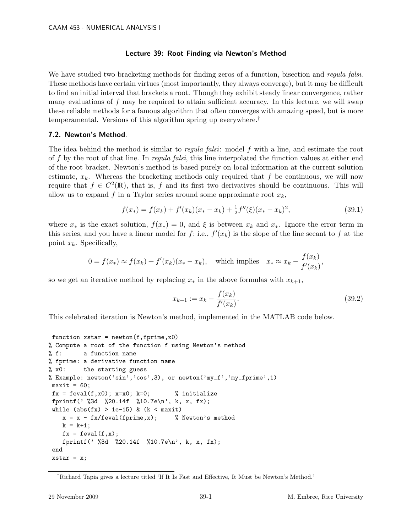## Lecture 39: Root Finding via Newton's Method

We have studied two bracketing methods for finding zeros of a function, bisection and *regula falsi*. These methods have certain virtues (most importantly, they always converge), but it may be difficult to find an initial interval that brackets a root. Though they exhibit steady linear convergence, rather many evaluations of  $f$  may be required to attain sufficient accuracy. In this lecture, we will swap these reliable methods for a famous algorithm that often converges with amazing speed, but is more temperamental. Versions of this algorithm spring up everywhere.†

## 7.2. Newton's Method.

The idea behind the method is similar to *regula falsi*: model f with a line, and estimate the root of f by the root of that line. In regula falsi, this line interpolated the function values at either end of the root bracket. Newton's method is based purely on local information at the current solution estimate,  $x_k$ . Whereas the bracketing methods only required that f be continuous, we will now require that  $f \in C^2(\mathbb{R})$ , that is, f and its first two derivatives should be continuous. This will allow us to expand f in a Taylor series around some approximate root  $x_k$ ,

$$
f(x_{*}) = f(x_{k}) + f'(x_{k})(x_{*} - x_{k}) + \frac{1}{2}f''(\xi)(x_{*} - x_{k})^{2},
$$
\n(39.1)

where  $x_*$  is the exact solution,  $f(x_*) = 0$ , and  $\xi$  is between  $x_k$  and  $x_*$ . Ignore the error term in this series, and you have a linear model for f; i.e.,  $f'(x_k)$  is the slope of the line secant to f at the point  $x_k$ . Specifically,

$$
0 = f(x_*) \approx f(x_k) + f'(x_k)(x_* - x_k), \quad \text{which implies} \quad x_* \approx x_k - \frac{f(x_k)}{f'(x_k)},
$$

so we get an iterative method by replacing  $x_*$  in the above formulas with  $x_{k+1}$ ,

$$
x_{k+1} := x_k - \frac{f(x_k)}{f'(x_k)}.\t\t(39.2)
$$

This celebrated iteration is Newton's method, implemented in the MATLAB code below.

```
function xstar = newton(f, fprime, x0)% Compute a root of the function f using Newton's method
% f: a function name
% fprime: a derivative function name
% x0: the starting guess
% Example: newton('sin','cos',3), or newton('my_f','my_fprime',1)
maxit = 60;fx = \text{fewal}(f, x0); x=x0; k=0; % initialize
fprintf(' %3d %20.14f %10.7e\n', k, x, fx);
while (abs(fx) > 1e-15) & (k < maxit)x = x - fx/feval(fprime,x); % Newton's method
   k = k+1;fx = \text{fewal}(f, x);fprintf(' %3d %20.14f %10.7e\n', k, x, fx);
 end
 xstar = x;
```
<sup>†</sup>Richard Tapia gives a lecture titled 'If It Is Fast and Effective, It Must be Newton's Method.'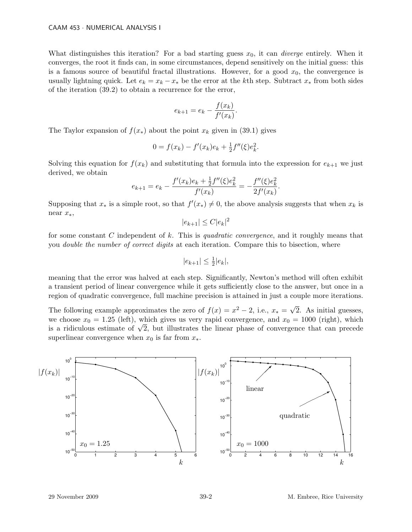What distinguishes this iteration? For a bad starting guess  $x_0$ , it can *diverge* entirely. When it converges, the root it finds can, in some circumstances, depend sensitively on the initial guess: this is a famous source of beautiful fractal illustrations. However, for a good  $x_0$ , the convergence is usually lightning quick. Let  $e_k = x_k - x_*$  be the error at the kth step. Subtract  $x_*$  from both sides of the iteration (39.2) to obtain a recurrence for the error,

$$
e_{k+1} = e_k - \frac{f(x_k)}{f'(x_k)}.
$$

The Taylor expansion of  $f(x_*)$  about the point  $x_k$  given in (39.1) gives

$$
0 = f(x_k) - f'(x_k)e_k + \frac{1}{2}f''(\xi)e_k^2.
$$

Solving this equation for  $f(x_k)$  and substituting that formula into the expression for  $e_{k+1}$  we just derived, we obtain

$$
e_{k+1} = e_k - \frac{f'(x_k)e_k + \frac{1}{2}f''(\xi)e_k^2}{f'(x_k)} = -\frac{f''(\xi)e_k^2}{2f'(x_k)}.
$$

Supposing that  $x_*$  is a simple root, so that  $f'(x_*) \neq 0$ , the above analysis suggests that when  $x_k$  is near x∗,

$$
|e_{k+1}| \le C|e_k|^2
$$

for some constant C independent of k. This is quadratic convergence, and it roughly means that you double the number of correct digits at each iteration. Compare this to bisection, where

$$
|e_{k+1}| \le \frac{1}{2}|e_k|,
$$

meaning that the error was halved at each step. Significantly, Newton's method will often exhibit a transient period of linear convergence while it gets sufficiently close to the answer, but once in a region of quadratic convergence, full machine precision is attained in just a couple more iterations.

The following example approximates the zero of  $f(x) = x^2 - 2$ , i.e.,  $x_* = \sqrt{2}$ 2. As initial guesses, we choose  $x_0 = 1.25$  (left), which gives us very rapid convergence, and  $x_0 = 1000$  (right), which we choose  $x_0 = 1.25$  (left), which gives us very rapid convergence, and  $x_0 = 1000$  (right), which<br>is a ridiculous estimate of  $\sqrt{2}$ , but illustrates the linear phase of convergence that can precede superlinear convergence when  $x_0$  is far from  $x_*$ .

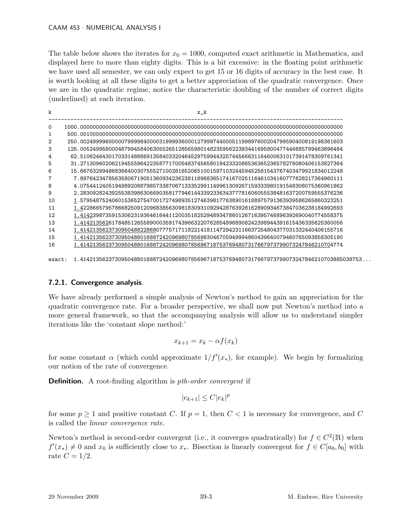## CAAM 453 · NUMERICAL ANALYSIS I

The table below shows the iterates for  $x_0 = 1000$ , computed exact arithmetic in Mathematica, and displayed here to more than eighty digits. This is a bit excessive: in the floating point arithmetic we have used all semester, we can only expect to get 15 or 16 digits of accuracy in the best case. It is worth looking at all these digits to get a better appreciation of the quadratic convergence. Once we are in the quadratic regime, notice the characteristic doubling of the number of correct digits (underlined) at each iteration.

| k  | x_k                                                                                     |
|----|-----------------------------------------------------------------------------------------|
| 0  |                                                                                         |
|    |                                                                                         |
| 2  | 250.00249999600000799998400003199993600012799974400051199897600204799590400819198361603 |
| 3  | 125.00524995800046799458406305526512856598014823595622393441695800477446685799463896484 |
| 4  | 62.51062464301703314888691358403320464529759944325744566631164600631017391478309761341  |
| 5  | 31.27130960206219455596422358771700548374565801842332086536365236578278080406153827364  |
| 6  | 15.66763299486836640030755527100281652065100159710324459452581543767403479921834012248  |
| 7  | 7.89764234785635806719051360934236238116968365174167025116461034160777628217364960111   |
| 8  | 4.07544124051949892088798573387067133352991149961309267159333980191548308075360961862   |
| 9  | 2.28309282439255383986306690358177946144339233634377781606055538481637200759555376236   |
| 10 | 1.57954875240601536527547001727498935127463981776389016188975791363939586265860323251   |
| 11 | 1.42286657957866825091209683856309818309310929428763928162890934673847036238184992693   |
| 12 | 1.41423987359153062319364616441120035182529489347860126716395746896392690040774558375   |
| 13 | 1.41421356261784851265589000359174396632207628548968908242398944391615436335625360056   |
| 14 | 1.41421356237309504882286807775717118221418114729423116637254804377031332440406155716   |
| 15 | 1.41421356237309504880168872420969807856983046705949994860439640079460765093858305190   |
| 16 | 1.41421356237309504880168872420969807856967187537694807317667973799073247846210704774   |
|    |                                                                                         |

exact: 1.41421356237309504880168872420969807856967187537694807317667973799073247846210703885038753...

## 7.2.1. Convergence analysis.

We have already performed a simple analysis of Newton's method to gain an appreciation for the quadratic convergence rate. For a broader perspective, we shall now put Newton's method into a more general framework, so that the accompanying analysis will allow us to understand simpler iterations like the 'constant slope method:'

$$
x_{k+1} = x_k - \alpha f(x_k)
$$

for some constant  $\alpha$  (which could approximate  $1/f'(x_*)$ , for example). We begin by formalizing our notion of the rate of convergence.

**Definition.** A root-finding algorithm is *pth-order convergent* if

$$
|e_{k+1}| \leq C |e_k|^p
$$

for some  $p \ge 1$  and positive constant C. If  $p = 1$ , then  $C < 1$  is necessary for convergence, and C is called the linear convergence rate.

Newton's method is second-order convergent (i.e., it converges quadratically) for  $f \in C^2(\mathbb{R})$  when  $f'(x_*) \neq 0$  and  $x_0$  is sufficiently close to  $x_*$ . Bisection is linearly convergent for  $f \in C[a_0, b_0]$  with rate  $C = 1/2$ .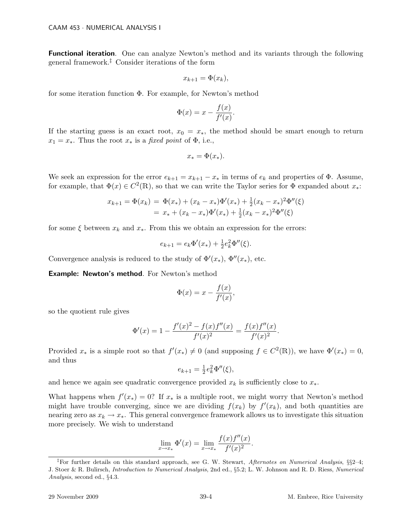Functional iteration. One can analyze Newton's method and its variants through the following general framework.‡ Consider iterations of the form

$$
x_{k+1} = \Phi(x_k),
$$

for some iteration function Φ. For example, for Newton's method

$$
\Phi(x) = x - \frac{f(x)}{f'(x)}.
$$

If the starting guess is an exact root,  $x_0 = x_*$ , the method should be smart enough to return  $x_1 = x_*$ . Thus the root  $x_*$  is a fixed point of  $\Phi$ , i.e.,

$$
x_* = \Phi(x_*).
$$

We seek an expression for the error  $e_{k+1} = x_{k+1} - x_*$  in terms of  $e_k$  and properties of  $\Phi$ . Assume, for example, that  $\Phi(x) \in C^2(\mathbb{R})$ , so that we can write the Taylor series for  $\Phi$  expanded about  $x_*$ :

$$
x_{k+1} = \Phi(x_k) = \Phi(x_*) + (x_k - x_*)\Phi'(x_*) + \frac{1}{2}(x_k - x_*)^2\Phi''(\xi)
$$
  
=  $x_* + (x_k - x_*)\Phi'(x_*) + \frac{1}{2}(x_k - x_*)^2\Phi''(\xi)$ 

for some  $\xi$  between  $x_k$  and  $x_*$ . From this we obtain an expression for the errors:

$$
e_{k+1} = e_k \Phi'(x_*) + \frac{1}{2} e_k^2 \Phi''(\xi).
$$

Convergence analysis is reduced to the study of  $\Phi'(x_*)$ ,  $\Phi''(x_*)$ , etc.

Example: Newton's method. For Newton's method

$$
\Phi(x) = x - \frac{f(x)}{f'(x)},
$$

so the quotient rule gives

$$
\Phi'(x) = 1 - \frac{f'(x)^2 - f(x)f''(x)}{f'(x)^2} = \frac{f(x)f''(x)}{f'(x)^2}.
$$

Provided  $x_*$  is a simple root so that  $f'(x_*) \neq 0$  (and supposing  $f \in C^2(\mathbb{R})$ ), we have  $\Phi'(x_*) = 0$ , and thus

$$
e_{k+1} = \frac{1}{2} e_k^2 \Phi''(\xi),
$$

and hence we again see quadratic convergence provided  $x_k$  is sufficiently close to  $x_*$ .

What happens when  $f'(x_*) = 0$ ? If  $x_*$  is a multiple root, we might worry that Newton's method might have trouble converging, since we are dividing  $f(x_k)$  by  $f'(x_k)$ , and both quantities are nearing zero as  $x_k \to x_*$ . This general convergence framework allows us to investigate this situation more precisely. We wish to understand

$$
\lim_{x \to x_*} \Phi'(x) = \lim_{x \to x_*} \frac{f(x)f''(x)}{f'(x)^2}.
$$

<sup>&</sup>lt;sup>‡</sup>For further details on this standard approach, see G. W. Stewart, *Afternotes on Numerical Analysis*,  $\S$ §2–4; J. Stoer & R. Bulirsch, Introduction to Numerical Analysis, 2nd ed., §5.2; L. W. Johnson and R. D. Riess, Numerical Analysis, second ed., §4.3.